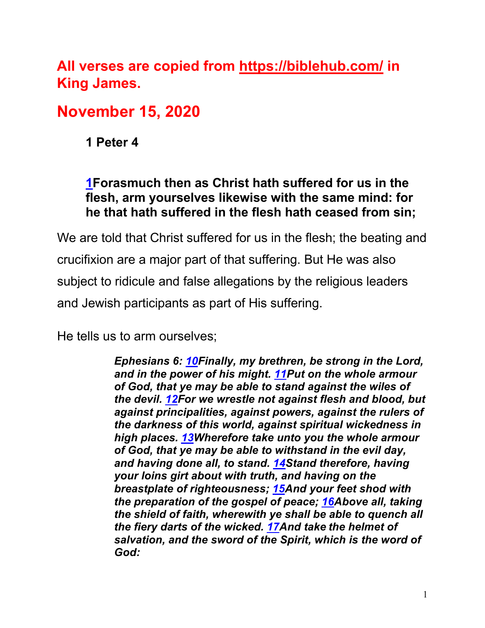**All verses are copied from https://biblehub.com/ in King James.** 

# **November 15, 2020**

**1 Peter 4**

#### **1Forasmuch then as Christ hath suffered for us in the flesh, arm yourselves likewise with the same mind: for he that hath suffered in the flesh hath ceased from sin;**

We are told that Christ suffered for us in the flesh; the beating and crucifixion are a major part of that suffering. But He was also subject to ridicule and false allegations by the religious leaders and Jewish participants as part of His suffering.

He tells us to arm ourselves;

*Ephesians 6: 10Finally, my brethren, be strong in the Lord, and in the power of his might. 11Put on the whole armour of God, that ye may be able to stand against the wiles of the devil. 12For we wrestle not against flesh and blood, but against principalities, against powers, against the rulers of the darkness of this world, against spiritual wickedness in high places. 13Wherefore take unto you the whole armour of God, that ye may be able to withstand in the evil day, and having done all, to stand. 14Stand therefore, having your loins girt about with truth, and having on the breastplate of righteousness; 15And your feet shod with the preparation of the gospel of peace; 16Above all, taking the shield of faith, wherewith ye shall be able to quench all the fiery darts of the wicked. 17And take the helmet of salvation, and the sword of the Spirit, which is the word of God:*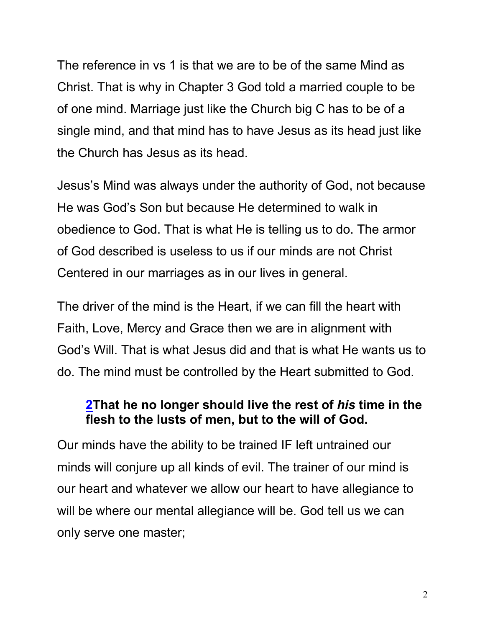The reference in vs 1 is that we are to be of the same Mind as Christ. That is why in Chapter 3 God told a married couple to be of one mind. Marriage just like the Church big C has to be of a single mind, and that mind has to have Jesus as its head just like the Church has Jesus as its head.

Jesus's Mind was always under the authority of God, not because He was God's Son but because He determined to walk in obedience to God. That is what He is telling us to do. The armor of God described is useless to us if our minds are not Christ Centered in our marriages as in our lives in general.

The driver of the mind is the Heart, if we can fill the heart with Faith, Love, Mercy and Grace then we are in alignment with God's Will. That is what Jesus did and that is what He wants us to do. The mind must be controlled by the Heart submitted to God.

#### **2That he no longer should live the rest of** *his* **time in the flesh to the lusts of men, but to the will of God.**

Our minds have the ability to be trained IF left untrained our minds will conjure up all kinds of evil. The trainer of our mind is our heart and whatever we allow our heart to have allegiance to will be where our mental allegiance will be. God tell us we can only serve one master;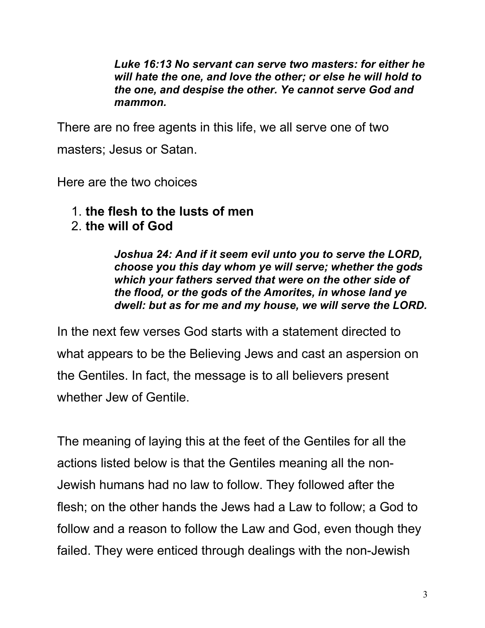*Luke 16:13 No servant can serve two masters: for either he will hate the one, and love the other; or else he will hold to the one, and despise the other. Ye cannot serve God and mammon.*

There are no free agents in this life, we all serve one of two masters; Jesus or Satan.

Here are the two choices

- 1. **the flesh to the lusts of men**
- 2. **the will of God**

*Joshua 24: And if it seem evil unto you to serve the LORD, choose you this day whom ye will serve; whether the gods which your fathers served that were on the other side of the flood, or the gods of the Amorites, in whose land ye dwell: but as for me and my house, we will serve the LORD.*

In the next few verses God starts with a statement directed to what appears to be the Believing Jews and cast an aspersion on the Gentiles. In fact, the message is to all believers present whether Jew of Gentile.

The meaning of laying this at the feet of the Gentiles for all the actions listed below is that the Gentiles meaning all the non-Jewish humans had no law to follow. They followed after the flesh; on the other hands the Jews had a Law to follow; a God to follow and a reason to follow the Law and God, even though they failed. They were enticed through dealings with the non-Jewish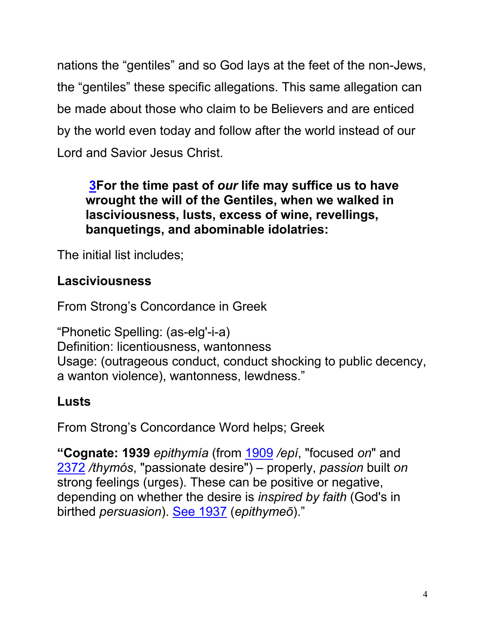nations the "gentiles" and so God lays at the feet of the non-Jews, the "gentiles" these specific allegations. This same allegation can be made about those who claim to be Believers and are enticed by the world even today and follow after the world instead of our Lord and Savior Jesus Christ.

#### **3For the time past of** *our* **life may suffice us to have wrought the will of the Gentiles, when we walked in lasciviousness, lusts, excess of wine, revellings, banquetings, and abominable idolatries:**

The initial list includes;

# **Lasciviousness**

From Strong's Concordance in Greek

"Phonetic Spelling: (as-elg'-i-a) Definition: licentiousness, wantonness Usage: (outrageous conduct, conduct shocking to public decency, a wanton violence), wantonness, lewdness."

# **Lusts**

From Strong's Concordance Word helps; Greek

**"Cognate: 1939** *epithymía* (from 1909 */epí*, "focused *on*" and 2372 */thymós*, "passionate desire") – properly, *passion* built *on* strong feelings (urges). These can be positive or negative, depending on whether the desire is *inspired by faith* (God's in birthed *persuasion*). See 1937 (*epithymeō*)."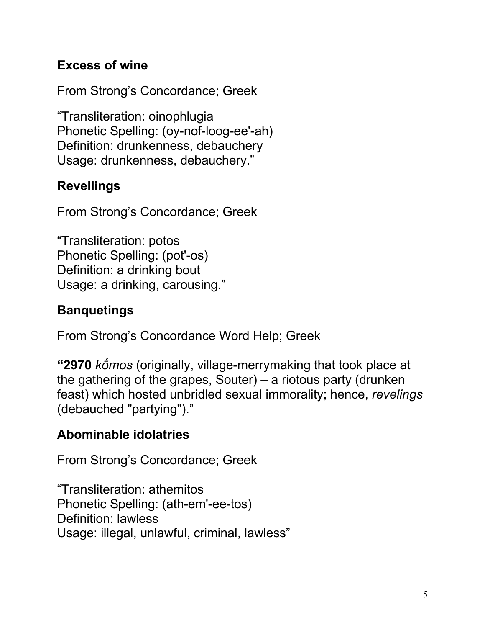## **Excess of wine**

From Strong's Concordance; Greek

"Transliteration: oinophlugia Phonetic Spelling: (oy-nof-loog-ee'-ah) Definition: drunkenness, debauchery Usage: drunkenness, debauchery."

## **Revellings**

From Strong's Concordance; Greek

"Transliteration: potos Phonetic Spelling: (pot'-os) Definition: a drinking bout Usage: a drinking, carousing."

# **Banquetings**

From Strong's Concordance Word Help; Greek

**"2970** *kṓmos* (originally, village-merrymaking that took place at the gathering of the grapes, Souter) – a riotous party (drunken feast) which hosted unbridled sexual immorality; hence, *revelings* (debauched "partying")."

# **Abominable idolatries**

From Strong's Concordance; Greek

"Transliteration: athemitos Phonetic Spelling: (ath-em'-ee-tos) Definition: lawless Usage: illegal, unlawful, criminal, lawless"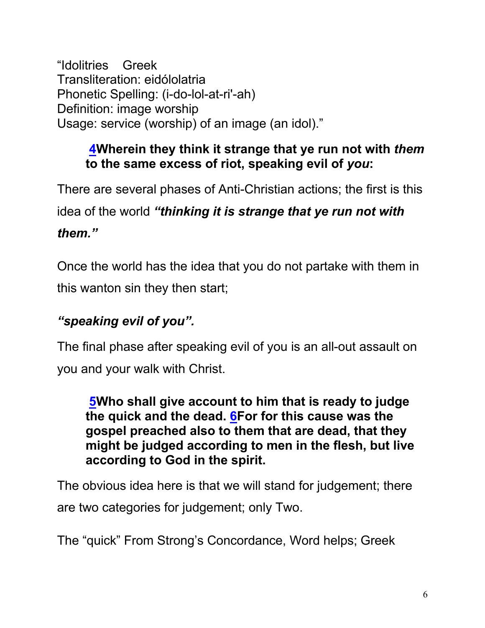"Idolitries Greek Transliteration: eidólolatria Phonetic Spelling: (i-do-lol-at-ri'-ah) Definition: image worship Usage: service (worship) of an image (an idol)."

### **4Wherein they think it strange that ye run not with** *them* **to the same excess of riot, speaking evil of** *you***:**

There are several phases of Anti-Christian actions; the first is this

idea of the world *"thinking it is strange that ye run not with* 

*them."*

Once the world has the idea that you do not partake with them in this wanton sin they then start;

# *"speaking evil of you".*

The final phase after speaking evil of you is an all-out assault on you and your walk with Christ.

**5Who shall give account to him that is ready to judge the quick and the dead. 6For for this cause was the gospel preached also to them that are dead, that they might be judged according to men in the flesh, but live according to God in the spirit.**

The obvious idea here is that we will stand for judgement; there are two categories for judgement; only Two.

The "quick" From Strong's Concordance, Word helps; Greek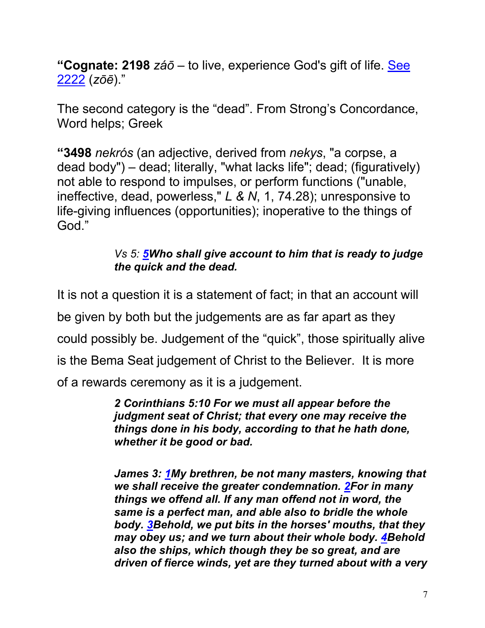**"Cognate: 2198** *záō* – to live, experience God's gift of life. See 2222 (*zōē*)."

The second category is the "dead". From Strong's Concordance, Word helps; Greek

**"3498** *nekrós* (an adjective, derived from *nekys*, "a corpse, a dead body") – dead; literally, "what lacks life"; dead; (figuratively) not able to respond to impulses, or perform functions ("unable, ineffective, dead, powerless," *L & N*, 1, 74.28); unresponsive to life-giving influences (opportunities); inoperative to the things of God."

#### *Vs 5: 5Who shall give account to him that is ready to judge the quick and the dead.*

It is not a question it is a statement of fact; in that an account will be given by both but the judgements are as far apart as they could possibly be. Judgement of the "quick", those spiritually alive is the Bema Seat judgement of Christ to the Believer. It is more of a rewards ceremony as it is a judgement.

> *2 Corinthians 5:10 For we must all appear before the judgment seat of Christ; that every one may receive the things done in his body, according to that he hath done, whether it be good or bad.*

*James 3: 1My brethren, be not many masters, knowing that we shall receive the greater condemnation. 2For in many things we offend all. If any man offend not in word, the same is a perfect man, and able also to bridle the whole body. 3Behold, we put bits in the horses' mouths, that they may obey us; and we turn about their whole body. 4Behold also the ships, which though they be so great, and are driven of fierce winds, yet are they turned about with a very*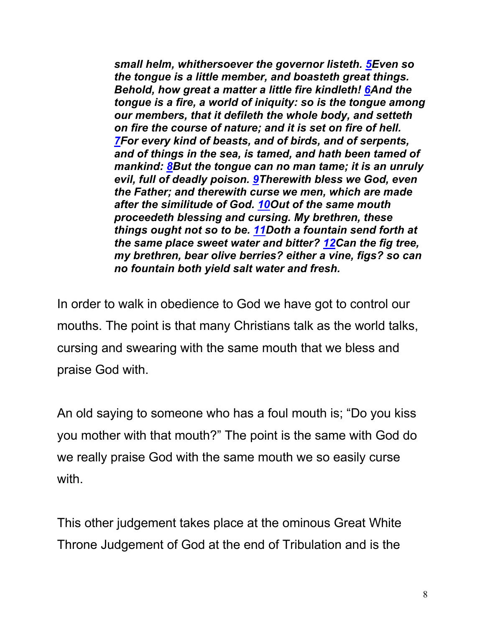*small helm, whithersoever the governor listeth. 5Even so the tongue is a little member, and boasteth great things. Behold, how great a matter a little fire kindleth! 6And the tongue is a fire, a world of iniquity: so is the tongue among our members, that it defileth the whole body, and setteth on fire the course of nature; and it is set on fire of hell. 7For every kind of beasts, and of birds, and of serpents, and of things in the sea, is tamed, and hath been tamed of mankind: 8But the tongue can no man tame; it is an unruly evil, full of deadly poison. 9Therewith bless we God, even the Father; and therewith curse we men, which are made after the similitude of God. 10Out of the same mouth proceedeth blessing and cursing. My brethren, these things ought not so to be. 11Doth a fountain send forth at the same place sweet water and bitter? 12Can the fig tree, my brethren, bear olive berries? either a vine, figs? so can no fountain both yield salt water and fresh.*

In order to walk in obedience to God we have got to control our mouths. The point is that many Christians talk as the world talks, cursing and swearing with the same mouth that we bless and praise God with.

An old saying to someone who has a foul mouth is; "Do you kiss you mother with that mouth?" The point is the same with God do we really praise God with the same mouth we so easily curse with.

This other judgement takes place at the ominous Great White Throne Judgement of God at the end of Tribulation and is the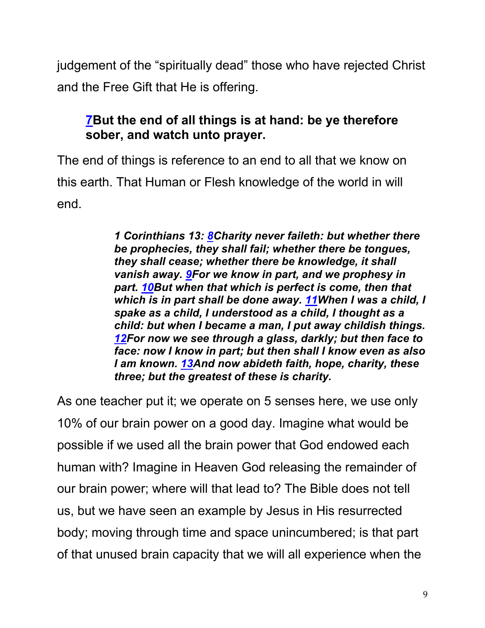judgement of the "spiritually dead" those who have rejected Christ and the Free Gift that He is offering.

### **7But the end of all things is at hand: be ye therefore sober, and watch unto prayer.**

The end of things is reference to an end to all that we know on this earth. That Human or Flesh knowledge of the world in will end.

> *1 Corinthians 13: 8Charity never faileth: but whether there be prophecies, they shall fail; whether there be tongues, they shall cease; whether there be knowledge, it shall vanish away. 9For we know in part, and we prophesy in part. 10But when that which is perfect is come, then that which is in part shall be done away. 11When I was a child, I spake as a child, I understood as a child, I thought as a child: but when I became a man, I put away childish things. 12For now we see through a glass, darkly; but then face to face: now I know in part; but then shall I know even as also I am known. 13And now abideth faith, hope, charity, these three; but the greatest of these is charity.*

As one teacher put it; we operate on 5 senses here, we use only 10% of our brain power on a good day. Imagine what would be possible if we used all the brain power that God endowed each human with? Imagine in Heaven God releasing the remainder of our brain power; where will that lead to? The Bible does not tell us, but we have seen an example by Jesus in His resurrected body; moving through time and space unincumbered; is that part of that unused brain capacity that we will all experience when the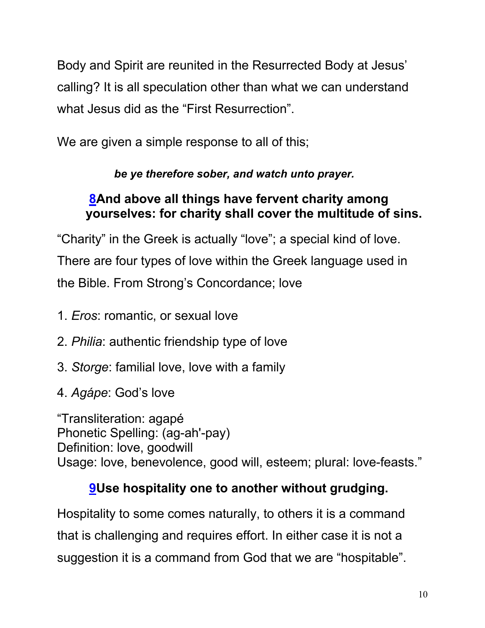Body and Spirit are reunited in the Resurrected Body at Jesus' calling? It is all speculation other than what we can understand what Jesus did as the "First Resurrection".

We are given a simple response to all of this;

# *be ye therefore sober, and watch unto prayer.*

### **8And above all things have fervent charity among yourselves: for charity shall cover the multitude of sins.**

"Charity" in the Greek is actually "love"; a special kind of love. There are four types of love within the Greek language used in the Bible. From Strong's Concordance; love

- 1. *Eros*: romantic, or sexual love
- 2. *Philia*: authentic friendship type of love
- 3. *Storge*: familial love, love with a family
- 4. *Agápe*: God's love

"Transliteration: agapé Phonetic Spelling: (ag-ah'-pay) Definition: love, goodwill Usage: love, benevolence, good will, esteem; plural: love-feasts."

# **9Use hospitality one to another without grudging.**

Hospitality to some comes naturally, to others it is a command that is challenging and requires effort. In either case it is not a suggestion it is a command from God that we are "hospitable".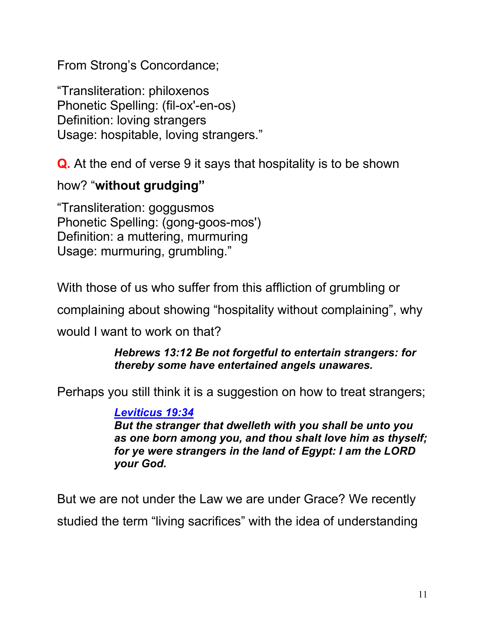From Strong's Concordance;

"Transliteration: philoxenos Phonetic Spelling: (fil-ox'-en-os) Definition: loving strangers Usage: hospitable, loving strangers."

**Q.** At the end of verse 9 it says that hospitality is to be shown

#### how? "**without grudging"**

"Transliteration: goggusmos Phonetic Spelling: (gong-goos-mos') Definition: a muttering, murmuring Usage: murmuring, grumbling."

With those of us who suffer from this affliction of grumbling or

complaining about showing "hospitality without complaining", why

would I want to work on that?

#### *Hebrews 13:12 Be not forgetful to entertain strangers: for thereby some have entertained angels unawares.*

Perhaps you still think it is a suggestion on how to treat strangers;

#### *Leviticus 19:34*

*But the stranger that dwelleth with you shall be unto you as one born among you, and thou shalt love him as thyself; for ye were strangers in the land of Egypt: I am the LORD your God.*

But we are not under the Law we are under Grace? We recently studied the term "living sacrifices" with the idea of understanding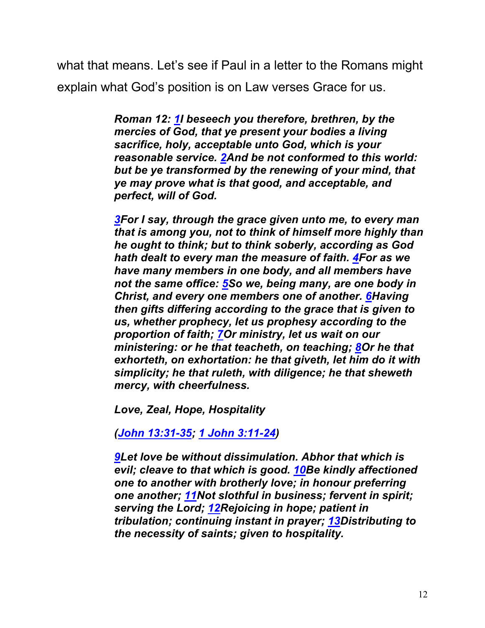what that means. Let's see if Paul in a letter to the Romans might explain what God's position is on Law verses Grace for us.

> *Roman 12: 1I beseech you therefore, brethren, by the mercies of God, that ye present your bodies a living sacrifice, holy, acceptable unto God, which is your reasonable service. 2And be not conformed to this world: but be ye transformed by the renewing of your mind, that ye may prove what is that good, and acceptable, and perfect, will of God.*

*3For I say, through the grace given unto me, to every man that is among you, not to think of himself more highly than he ought to think; but to think soberly, according as God hath dealt to every man the measure of faith. 4For as we have many members in one body, and all members have not the same office: 5So we, being many, are one body in Christ, and every one members one of another. 6Having then gifts differing according to the grace that is given to us, whether prophecy, let us prophesy according to the proportion of faith; 7Or ministry, let us wait on our ministering: or he that teacheth, on teaching; 8Or he that exhorteth, on exhortation: he that giveth, let him do it with simplicity; he that ruleth, with diligence; he that sheweth mercy, with cheerfulness.*

*Love, Zeal, Hope, Hospitality*

*(John 13:31-35; 1 John 3:11-24)*

*9Let love be without dissimulation. Abhor that which is evil; cleave to that which is good. 10Be kindly affectioned one to another with brotherly love; in honour preferring one another; 11Not slothful in business; fervent in spirit; serving the Lord; 12Rejoicing in hope; patient in tribulation; continuing instant in prayer; 13Distributing to the necessity of saints; given to hospitality.*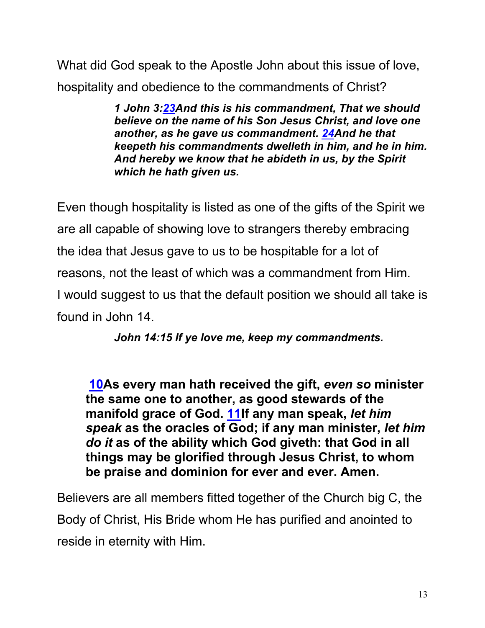What did God speak to the Apostle John about this issue of love, hospitality and obedience to the commandments of Christ?

> *1 John 3:23And this is his commandment, That we should believe on the name of his Son Jesus Christ, and love one another, as he gave us commandment. 24And he that keepeth his commandments dwelleth in him, and he in him. And hereby we know that he abideth in us, by the Spirit which he hath given us.*

Even though hospitality is listed as one of the gifts of the Spirit we are all capable of showing love to strangers thereby embracing the idea that Jesus gave to us to be hospitable for a lot of reasons, not the least of which was a commandment from Him. I would suggest to us that the default position we should all take is found in John 14.

*John 14:15 If ye love me, keep my commandments.*

**10As every man hath received the gift,** *even so* **minister the same one to another, as good stewards of the manifold grace of God. 11If any man speak,** *let him speak* **as the oracles of God; if any man minister,** *let him do it* **as of the ability which God giveth: that God in all things may be glorified through Jesus Christ, to whom be praise and dominion for ever and ever. Amen.**

Believers are all members fitted together of the Church big C, the Body of Christ, His Bride whom He has purified and anointed to reside in eternity with Him.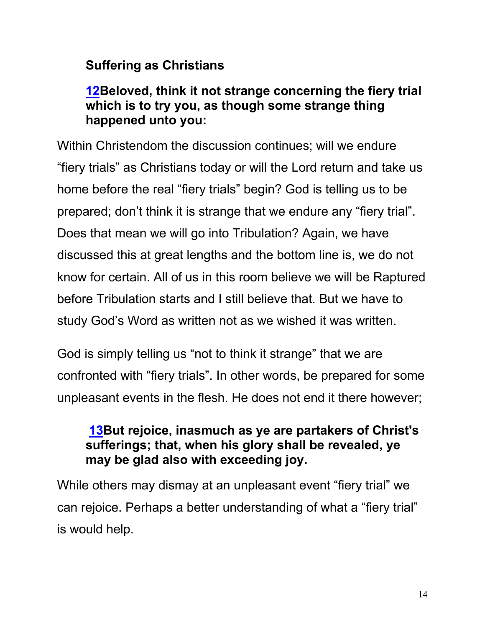## **Suffering as Christians**

#### **12Beloved, think it not strange concerning the fiery trial which is to try you, as though some strange thing happened unto you:**

Within Christendom the discussion continues; will we endure "fiery trials" as Christians today or will the Lord return and take us home before the real "fiery trials" begin? God is telling us to be prepared; don't think it is strange that we endure any "fiery trial". Does that mean we will go into Tribulation? Again, we have discussed this at great lengths and the bottom line is, we do not know for certain. All of us in this room believe we will be Raptured before Tribulation starts and I still believe that. But we have to study God's Word as written not as we wished it was written.

God is simply telling us "not to think it strange" that we are confronted with "fiery trials". In other words, be prepared for some unpleasant events in the flesh. He does not end it there however;

#### **13But rejoice, inasmuch as ye are partakers of Christ's sufferings; that, when his glory shall be revealed, ye may be glad also with exceeding joy.**

While others may dismay at an unpleasant event "fiery trial" we can rejoice. Perhaps a better understanding of what a "fiery trial" is would help.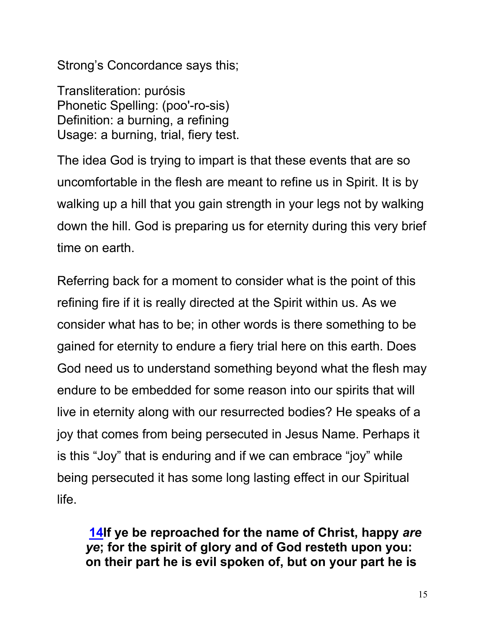Strong's Concordance says this;

Transliteration: purósis Phonetic Spelling: (poo'-ro-sis) Definition: a burning, a refining Usage: a burning, trial, fiery test.

The idea God is trying to impart is that these events that are so uncomfortable in the flesh are meant to refine us in Spirit. It is by walking up a hill that you gain strength in your legs not by walking down the hill. God is preparing us for eternity during this very brief time on earth.

Referring back for a moment to consider what is the point of this refining fire if it is really directed at the Spirit within us. As we consider what has to be; in other words is there something to be gained for eternity to endure a fiery trial here on this earth. Does God need us to understand something beyond what the flesh may endure to be embedded for some reason into our spirits that will live in eternity along with our resurrected bodies? He speaks of a joy that comes from being persecuted in Jesus Name. Perhaps it is this "Joy" that is enduring and if we can embrace "joy" while being persecuted it has some long lasting effect in our Spiritual life.

**14If ye be reproached for the name of Christ, happy** *are ye***; for the spirit of glory and of God resteth upon you: on their part he is evil spoken of, but on your part he is**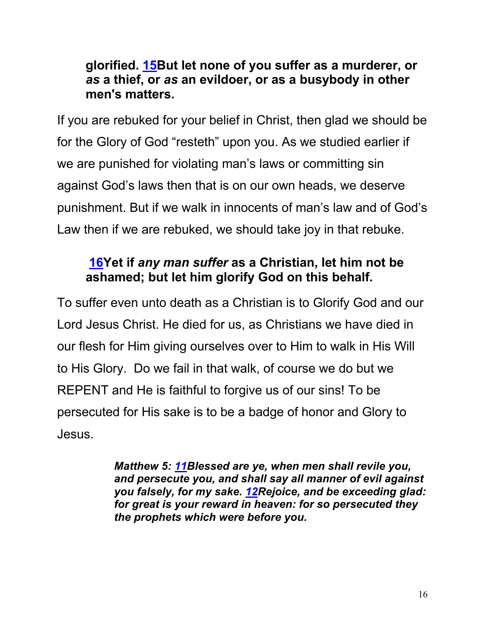#### **glorified. 15But let none of you suffer as a murderer, or**  *as* **a thief, or** *as* **an evildoer, or as a busybody in other men's matters.**

If you are rebuked for your belief in Christ, then glad we should be for the Glory of God "resteth" upon you. As we studied earlier if we are punished for violating man's laws or committing sin against God's laws then that is on our own heads, we deserve punishment. But if we walk in innocents of man's law and of God's Law then if we are rebuked, we should take joy in that rebuke.

# **16Yet if** *any man suffer* **as a Christian, let him not be ashamed; but let him glorify God on this behalf.**

To suffer even unto death as a Christian is to Glorify God and our Lord Jesus Christ. He died for us, as Christians we have died in our flesh for Him giving ourselves over to Him to walk in His Will to His Glory. Do we fail in that walk, of course we do but we REPENT and He is faithful to forgive us of our sins! To be persecuted for His sake is to be a badge of honor and Glory to Jesus.

> *Matthew 5: 11Blessed are ye, when men shall revile you, and persecute you, and shall say all manner of evil against you falsely, for my sake. 12Rejoice, and be exceeding glad: for great is your reward in heaven: for so persecuted they the prophets which were before you.*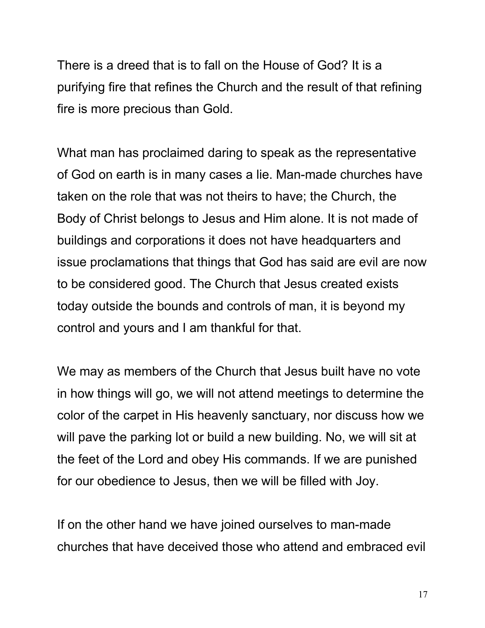There is a dreed that is to fall on the House of God? It is a purifying fire that refines the Church and the result of that refining fire is more precious than Gold.

What man has proclaimed daring to speak as the representative of God on earth is in many cases a lie. Man-made churches have taken on the role that was not theirs to have; the Church, the Body of Christ belongs to Jesus and Him alone. It is not made of buildings and corporations it does not have headquarters and issue proclamations that things that God has said are evil are now to be considered good. The Church that Jesus created exists today outside the bounds and controls of man, it is beyond my control and yours and I am thankful for that.

We may as members of the Church that Jesus built have no vote in how things will go, we will not attend meetings to determine the color of the carpet in His heavenly sanctuary, nor discuss how we will pave the parking lot or build a new building. No, we will sit at the feet of the Lord and obey His commands. If we are punished for our obedience to Jesus, then we will be filled with Joy.

If on the other hand we have joined ourselves to man-made churches that have deceived those who attend and embraced evil